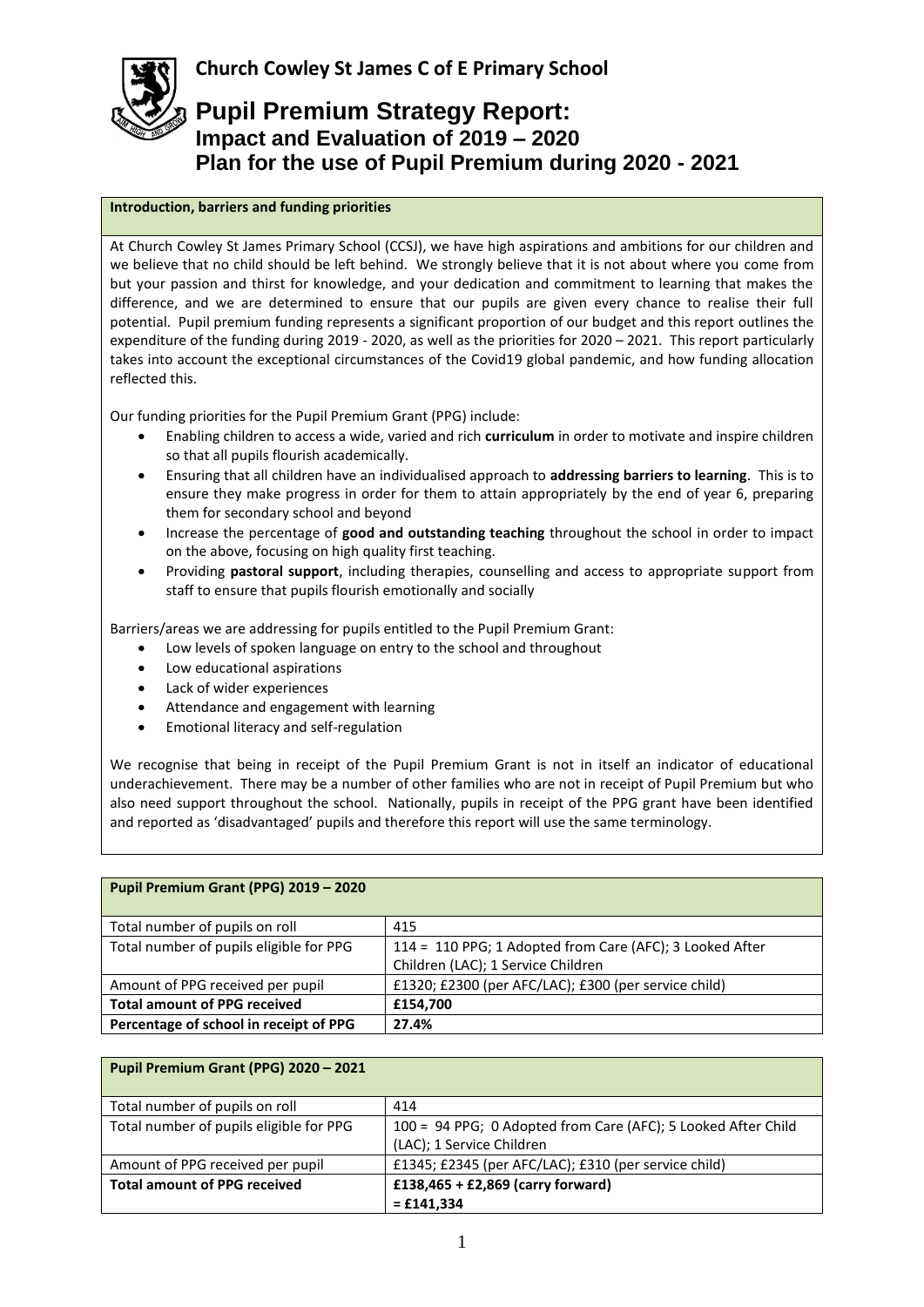## **Introduction, barriers and funding priorities**

At Church Cowley St James Primary School (CCSJ), we have high aspirations and ambitions for our children and we believe that no child should be left behind. We strongly believe that it is not about where you come from but your passion and thirst for knowledge, and your dedication and commitment to learning that makes the difference, and we are determined to ensure that our pupils are given every chance to realise their full potential. Pupil premium funding represents a significant proportion of our budget and this report outlines the expenditure of the funding during 2019 - 2020, as well as the priorities for 2020 – 2021. This report particularly takes into account the exceptional circumstances of the Covid19 global pandemic, and how funding allocation reflected this.

Our funding priorities for the Pupil Premium Grant (PPG) include:

- Enabling children to access a wide, varied and rich **curriculum** in order to motivate and inspire children so that all pupils flourish academically.
- Ensuring that all children have an individualised approach to **addressing barriers to learning**. This is to ensure they make progress in order for them to attain appropriately by the end of year 6, preparing them for secondary school and beyond
- Increase the percentage of **good and outstanding teaching** throughout the school in order to impact on the above, focusing on high quality first teaching.
- Providing **pastoral support**, including therapies, counselling and access to appropriate support from staff to ensure that pupils flourish emotionally and socially

Barriers/areas we are addressing for pupils entitled to the Pupil Premium Grant:

- Low levels of spoken language on entry to the school and throughout
- Low educational aspirations
- Lack of wider experiences
- Attendance and engagement with learning
- Emotional literacy and self-regulation

We recognise that being in receipt of the Pupil Premium Grant is not in itself an indicator of educational underachievement. There may be a number of other families who are not in receipt of Pupil Premium but who also need support throughout the school. Nationally, pupils in receipt of the PPG grant have been identified and reported as 'disadvantaged' pupils and therefore this report will use the same terminology.

| Pupil Premium Grant (PPG) 2019 - 2020   |                                                                                                |
|-----------------------------------------|------------------------------------------------------------------------------------------------|
| Total number of pupils on roll          | 415                                                                                            |
| Total number of pupils eligible for PPG | 114 = 110 PPG; 1 Adopted from Care (AFC); 3 Looked After<br>Children (LAC); 1 Service Children |
| Amount of PPG received per pupil        | £1320; £2300 (per AFC/LAC); £300 (per service child)                                           |
| <b>Total amount of PPG received</b>     | £154,700                                                                                       |
| Percentage of school in receipt of PPG  | 27.4%                                                                                          |

| Pupil Premium Grant (PPG) 2020 - 2021   |                                                                                            |
|-----------------------------------------|--------------------------------------------------------------------------------------------|
| Total number of pupils on roll          | 414                                                                                        |
| Total number of pupils eligible for PPG | 100 = 94 PPG; 0 Adopted from Care (AFC); 5 Looked After Child<br>(LAC); 1 Service Children |
|                                         |                                                                                            |
| Amount of PPG received per pupil        | £1345; £2345 (per AFC/LAC); £310 (per service child)                                       |
| <b>Total amount of PPG received</b>     | £138,465 + £2,869 (carry forward)                                                          |
|                                         | $=$ £141,334                                                                               |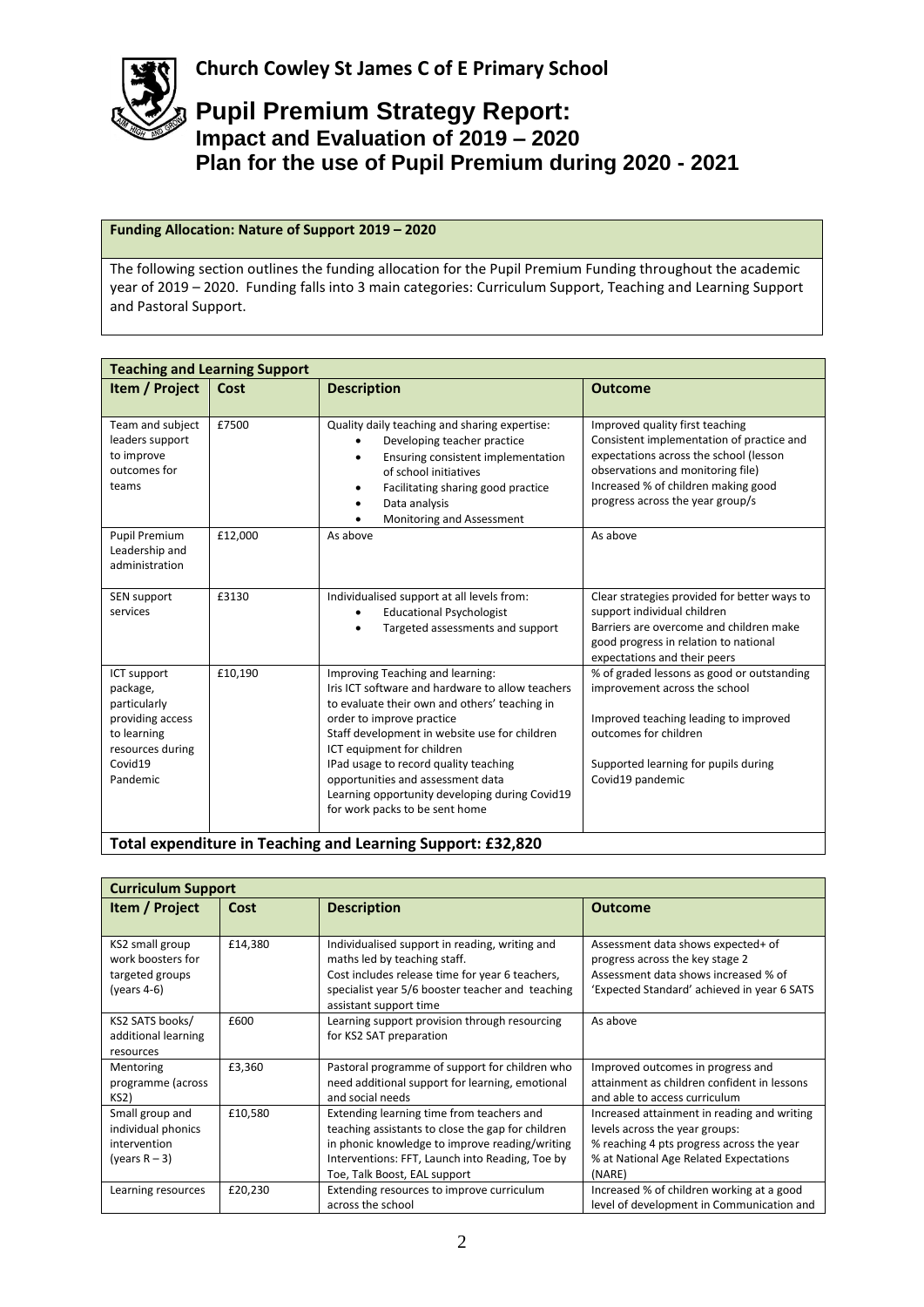

## **Funding Allocation: Nature of Support 2019 – 2020**

The following section outlines the funding allocation for the Pupil Premium Funding throughout the academic year of 2019 – 2020. Funding falls into 3 main categories: Curriculum Support, Teaching and Learning Support and Pastoral Support.

| <b>Teaching and Learning Support</b>                                                                                  |         |                                                                                                                                                                                                                                                                                                                                 |                                                                                                                                                                                                                                        |
|-----------------------------------------------------------------------------------------------------------------------|---------|---------------------------------------------------------------------------------------------------------------------------------------------------------------------------------------------------------------------------------------------------------------------------------------------------------------------------------|----------------------------------------------------------------------------------------------------------------------------------------------------------------------------------------------------------------------------------------|
| Item / Project                                                                                                        | Cost    | <b>Description</b>                                                                                                                                                                                                                                                                                                              | <b>Outcome</b>                                                                                                                                                                                                                         |
| Team and subject<br>leaders support<br>to improve<br>outcomes for<br>teams                                            | £7500   | Quality daily teaching and sharing expertise:<br>Developing teacher practice<br>Ensuring consistent implementation<br>of school initiatives<br>Facilitating sharing good practice<br>$\bullet$<br>Data analysis<br>Monitoring and Assessment                                                                                    | Improved quality first teaching<br>Consistent implementation of practice and<br>expectations across the school (lesson<br>observations and monitoring file)<br>Increased % of children making good<br>progress across the year group/s |
| <b>Pupil Premium</b><br>Leadership and<br>administration                                                              | £12,000 | As above                                                                                                                                                                                                                                                                                                                        | As above                                                                                                                                                                                                                               |
| SEN support<br>services                                                                                               | £3130   | Individualised support at all levels from:<br><b>Educational Psychologist</b><br>Targeted assessments and support                                                                                                                                                                                                               | Clear strategies provided for better ways to<br>support individual children<br>Barriers are overcome and children make<br>good progress in relation to national<br>expectations and their peers                                        |
| ICT support<br>package,<br>particularly<br>providing access<br>to learning<br>resources during<br>Covid19<br>Pandemic | £10,190 | Improving Teaching and learning:<br>Iris ICT software and hardware to allow teachers<br>to evaluate their own and others' teaching in<br>order to improve practice<br>Staff development in website use for children<br>ICT equipment for children<br>IPad usage to record quality teaching<br>opportunities and assessment data | % of graded lessons as good or outstanding<br>improvement across the school<br>Improved teaching leading to improved<br>outcomes for children<br>Supported learning for pupils during<br>Covid19 pandemic                              |
|                                                                                                                       |         | Learning opportunity developing during Covid19<br>for work packs to be sent home<br>Total ovnanditure in Teaching and Learning Sunnert: £22,920                                                                                                                                                                                 |                                                                                                                                                                                                                                        |

**Total expenditure in Teaching and Learning Support: £32,820**

| <b>Curriculum Support</b>                                                 |         |                                                                                                                                                                                                                                     |                                                                                                                                                                                |
|---------------------------------------------------------------------------|---------|-------------------------------------------------------------------------------------------------------------------------------------------------------------------------------------------------------------------------------------|--------------------------------------------------------------------------------------------------------------------------------------------------------------------------------|
| Item / Project                                                            | Cost    | <b>Description</b>                                                                                                                                                                                                                  | <b>Outcome</b>                                                                                                                                                                 |
| KS2 small group<br>work boosters for<br>targeted groups<br>$(years 4-6)$  | £14.380 | Individualised support in reading, writing and<br>maths led by teaching staff.<br>Cost includes release time for year 6 teachers,<br>specialist year 5/6 booster teacher and teaching<br>assistant support time                     | Assessment data shows expected+ of<br>progress across the key stage 2<br>Assessment data shows increased % of<br>'Expected Standard' achieved in year 6 SATS                   |
| KS2 SATS books/<br>additional learning<br>resources                       | £600    | Learning support provision through resourcing<br>for KS2 SAT preparation                                                                                                                                                            | As above                                                                                                                                                                       |
| Mentoring<br>programme (across<br><b>KS2)</b>                             | £3,360  | Pastoral programme of support for children who<br>need additional support for learning, emotional<br>and social needs                                                                                                               | Improved outcomes in progress and<br>attainment as children confident in lessons<br>and able to access curriculum                                                              |
| Small group and<br>individual phonics<br>intervention<br>(years $R - 3$ ) | £10,580 | Extending learning time from teachers and<br>teaching assistants to close the gap for children<br>in phonic knowledge to improve reading/writing<br>Interventions: FFT, Launch into Reading, Toe by<br>Toe, Talk Boost, EAL support | Increased attainment in reading and writing<br>levels across the year groups:<br>% reaching 4 pts progress across the year<br>% at National Age Related Expectations<br>(NARE) |
| Learning resources                                                        | £20,230 | Extending resources to improve curriculum<br>across the school                                                                                                                                                                      | Increased % of children working at a good<br>level of development in Communication and                                                                                         |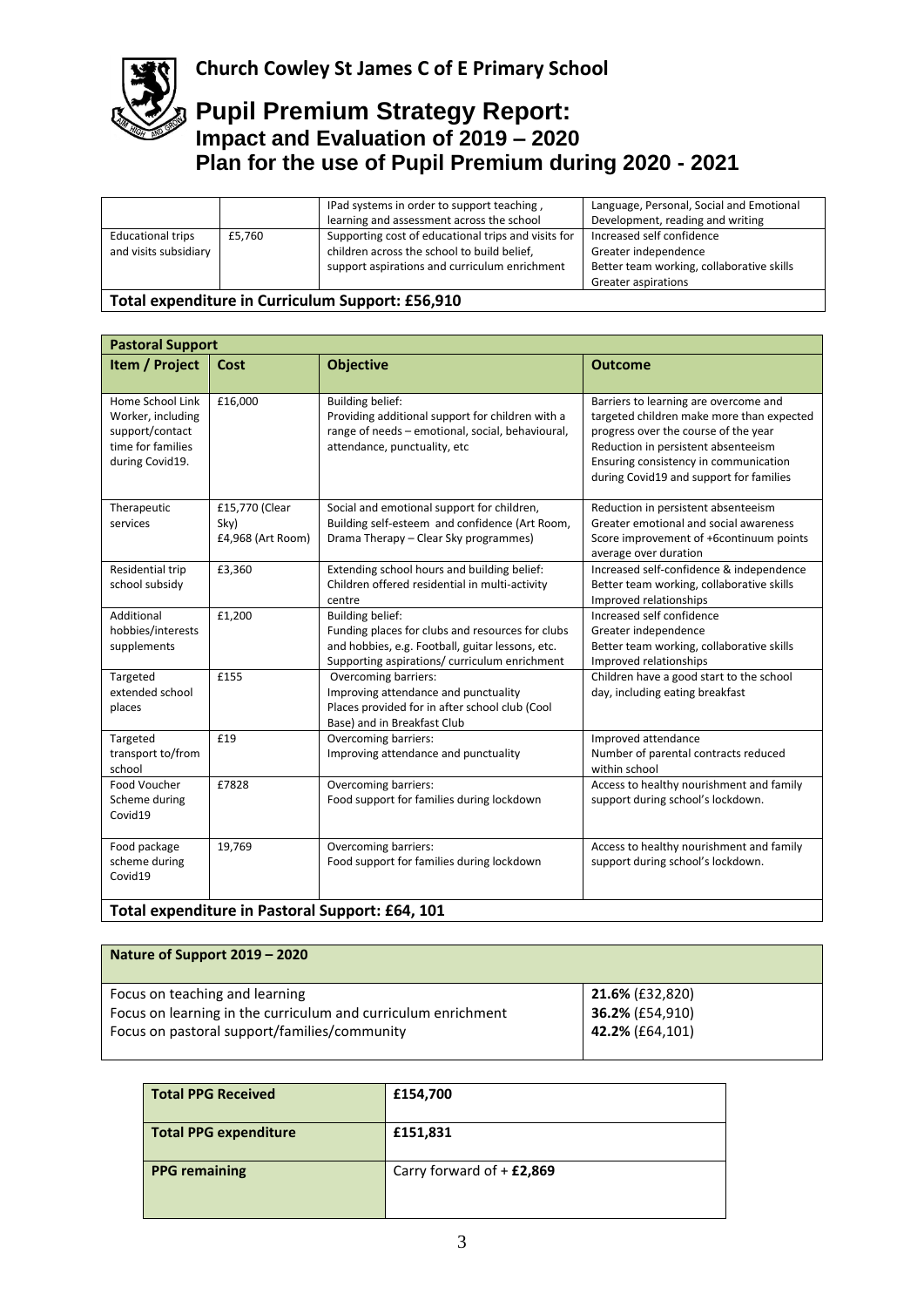

# **Church Cowley St James C of E Primary School**

## **Pupil Premium Strategy Report: Impact and Evaluation of 2019 – 2020 Plan for the use of Pupil Premium during 2020 - 2021**

|                                                   |        | IPad systems in order to support teaching,<br>learning and assessment across the school                                                             | Language, Personal, Social and Emotional<br>Development, reading and writing                                          |
|---------------------------------------------------|--------|-----------------------------------------------------------------------------------------------------------------------------------------------------|-----------------------------------------------------------------------------------------------------------------------|
| <b>Educational trips</b><br>and visits subsidiary | £5.760 | Supporting cost of educational trips and visits for<br>children across the school to build belief,<br>support aspirations and curriculum enrichment | Increased self confidence<br>Greater independence<br>Better team working, collaborative skills<br>Greater aspirations |
| $ -$                                              |        |                                                                                                                                                     |                                                                                                                       |

### **Total expenditure in Curriculum Support: £56,910**

| <b>Pastoral Support</b>                                                                          |                                             |                                                                                                                                                                                  |                                                                                                                                                                                                                                                       |
|--------------------------------------------------------------------------------------------------|---------------------------------------------|----------------------------------------------------------------------------------------------------------------------------------------------------------------------------------|-------------------------------------------------------------------------------------------------------------------------------------------------------------------------------------------------------------------------------------------------------|
| Item / Project                                                                                   | Cost                                        | <b>Objective</b>                                                                                                                                                                 | <b>Outcome</b>                                                                                                                                                                                                                                        |
| Home School Link<br>Worker, including<br>support/contact<br>time for families<br>during Covid19. | £16,000                                     | <b>Building belief:</b><br>Providing additional support for children with a<br>range of needs - emotional, social, behavioural,<br>attendance, punctuality, etc                  | Barriers to learning are overcome and<br>targeted children make more than expected<br>progress over the course of the year<br>Reduction in persistent absenteeism<br>Ensuring consistency in communication<br>during Covid19 and support for families |
| Therapeutic<br>services                                                                          | £15,770 (Clear<br>Sky)<br>£4,968 (Art Room) | Social and emotional support for children,<br>Building self-esteem and confidence (Art Room,<br>Drama Therapy – Clear Sky programmes)                                            | Reduction in persistent absenteeism<br>Greater emotional and social awareness<br>Score improvement of +6continuum points<br>average over duration                                                                                                     |
| Residential trip<br>school subsidy                                                               | £3,360                                      | Extending school hours and building belief:<br>Children offered residential in multi-activity<br>centre                                                                          | Increased self-confidence & independence<br>Better team working, collaborative skills<br>Improved relationships                                                                                                                                       |
| Additional<br>hobbies/interests<br>supplements                                                   | £1,200                                      | <b>Building belief:</b><br>Funding places for clubs and resources for clubs<br>and hobbies, e.g. Football, guitar lessons, etc.<br>Supporting aspirations/ curriculum enrichment | Increased self confidence<br>Greater independence<br>Better team working, collaborative skills<br>Improved relationships                                                                                                                              |
| Targeted<br>extended school<br>places                                                            | £155                                        | Overcoming barriers:<br>Improving attendance and punctuality<br>Places provided for in after school club (Cool<br>Base) and in Breakfast Club                                    | Children have a good start to the school<br>day, including eating breakfast                                                                                                                                                                           |
| Targeted<br>transport to/from<br>school                                                          | £19                                         | Overcoming barriers:<br>Improving attendance and punctuality                                                                                                                     | Improved attendance<br>Number of parental contracts reduced<br>within school                                                                                                                                                                          |
| Food Voucher<br>Scheme during<br>Covid19                                                         | £7828                                       | Overcoming barriers:<br>Food support for families during lockdown                                                                                                                | Access to healthy nourishment and family<br>support during school's lockdown.                                                                                                                                                                         |
| Food package<br>scheme during<br>Covid19                                                         | 19,769                                      | Overcoming barriers:<br>Food support for families during lockdown                                                                                                                | Access to healthy nourishment and family<br>support during school's lockdown.                                                                                                                                                                         |
| Total expenditure in Pastoral Support: £64, 101                                                  |                                             |                                                                                                                                                                                  |                                                                                                                                                                                                                                                       |

| Nature of Support 2019 – 2020                                 |                        |
|---------------------------------------------------------------|------------------------|
| Focus on teaching and learning                                | <b>21.6% (£32,820)</b> |
| Focus on learning in the curriculum and curriculum enrichment | 36.2% (£54,910)        |
| Focus on pastoral support/families/community                  | 42.2% (£64,101)        |

| <b>Total PPG Received</b>    | £154,700                    |
|------------------------------|-----------------------------|
| <b>Total PPG expenditure</b> | £151,831                    |
| <b>PPG remaining</b>         | Carry forward of $+$ £2,869 |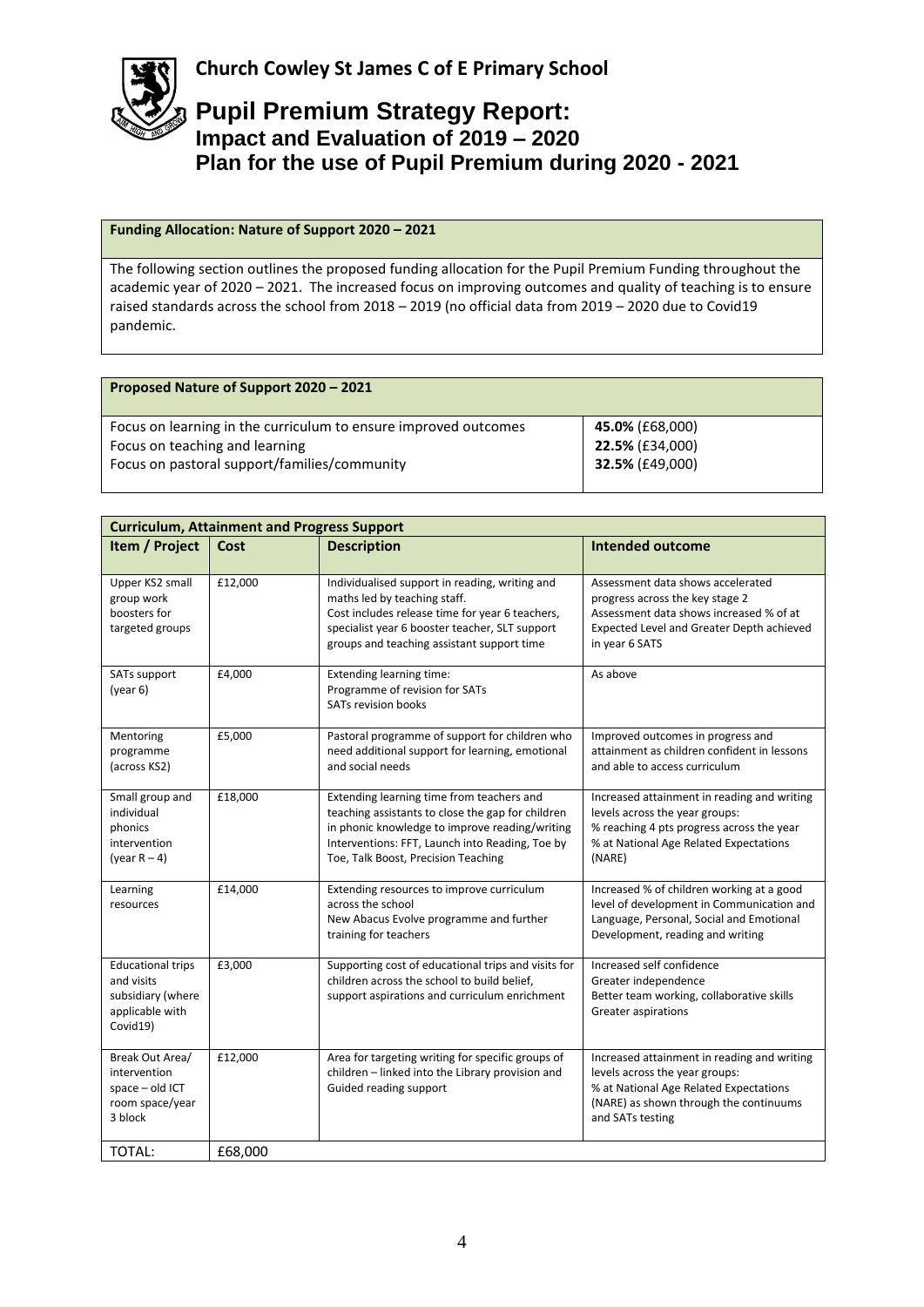

## **Funding Allocation: Nature of Support 2020 – 2021**

The following section outlines the proposed funding allocation for the Pupil Premium Funding throughout the academic year of 2020 – 2021. The increased focus on improving outcomes and quality of teaching is to ensure raised standards across the school from 2018 – 2019 (no official data from 2019 – 2020 due to Covid19 pandemic.

| Proposed Nature of Support 2020 - 2021                          |                        |
|-----------------------------------------------------------------|------------------------|
| Focus on learning in the curriculum to ensure improved outcomes | 45.0% (£68,000)        |
| Focus on teaching and learning                                  | 22.5% (£34,000)        |
| Focus on pastoral support/families/community                    | <b>32.5% (£49,000)</b> |

| <b>Curriculum, Attainment and Progress Support</b>                                         |         |                                                                                                                                                                                                                                            |                                                                                                                                                                                       |
|--------------------------------------------------------------------------------------------|---------|--------------------------------------------------------------------------------------------------------------------------------------------------------------------------------------------------------------------------------------------|---------------------------------------------------------------------------------------------------------------------------------------------------------------------------------------|
| Item / Project                                                                             | Cost    | <b>Description</b>                                                                                                                                                                                                                         | <b>Intended outcome</b>                                                                                                                                                               |
| Upper KS2 small<br>group work<br>boosters for<br>targeted groups                           | £12,000 | Individualised support in reading, writing and<br>maths led by teaching staff.<br>Cost includes release time for year 6 teachers,<br>specialist year 6 booster teacher, SLT support<br>groups and teaching assistant support time          | Assessment data shows accelerated<br>progress across the key stage 2<br>Assessment data shows increased % of at<br>Expected Level and Greater Depth achieved<br>in year 6 SATS        |
| SATs support<br>(year 6)                                                                   | £4,000  | <b>Extending learning time:</b><br>Programme of revision for SATs<br><b>SATs revision books</b>                                                                                                                                            | As above                                                                                                                                                                              |
| Mentoring<br>programme<br>(across KS2)                                                     | £5,000  | Pastoral programme of support for children who<br>need additional support for learning, emotional<br>and social needs                                                                                                                      | Improved outcomes in progress and<br>attainment as children confident in lessons<br>and able to access curriculum                                                                     |
| Small group and<br>individual<br>phonics<br>intervention<br>(year $R - 4$ )                | £18,000 | Extending learning time from teachers and<br>teaching assistants to close the gap for children<br>in phonic knowledge to improve reading/writing<br>Interventions: FFT, Launch into Reading, Toe by<br>Toe, Talk Boost, Precision Teaching | Increased attainment in reading and writing<br>levels across the year groups:<br>% reaching 4 pts progress across the year<br>% at National Age Related Expectations<br>(NARE)        |
| Learning<br>resources                                                                      | £14,000 | Extending resources to improve curriculum<br>across the school<br>New Abacus Evolve programme and further<br>training for teachers                                                                                                         | Increased % of children working at a good<br>level of development in Communication and<br>Language, Personal, Social and Emotional<br>Development, reading and writing                |
| <b>Educational trips</b><br>and visits<br>subsidiary (where<br>applicable with<br>Covid19) | £3,000  | Supporting cost of educational trips and visits for<br>children across the school to build belief,<br>support aspirations and curriculum enrichment                                                                                        | Increased self confidence<br>Greater independence<br>Better team working, collaborative skills<br>Greater aspirations                                                                 |
| Break Out Area/<br>intervention<br>space - old ICT<br>room space/year<br>3 block           | £12,000 | Area for targeting writing for specific groups of<br>children - linked into the Library provision and<br>Guided reading support                                                                                                            | Increased attainment in reading and writing<br>levels across the year groups:<br>% at National Age Related Expectations<br>(NARE) as shown through the continuums<br>and SATs testing |
| <b>TOTAL:</b>                                                                              | £68,000 |                                                                                                                                                                                                                                            |                                                                                                                                                                                       |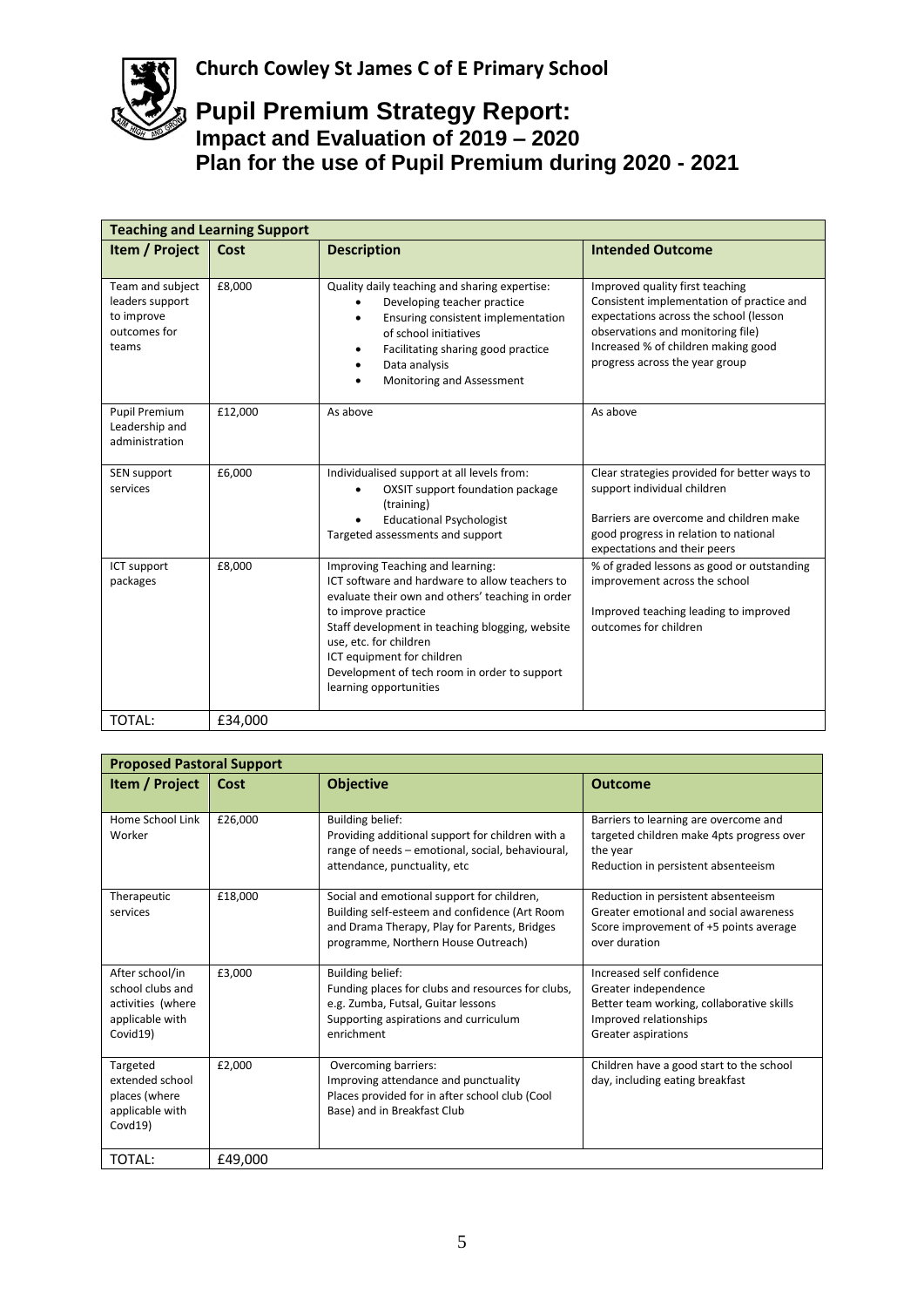| <b>Teaching and Learning Support</b>                                       |         |                                                                                                                                                                                                                                                                                                                                                    |                                                                                                                                                                                                                                      |
|----------------------------------------------------------------------------|---------|----------------------------------------------------------------------------------------------------------------------------------------------------------------------------------------------------------------------------------------------------------------------------------------------------------------------------------------------------|--------------------------------------------------------------------------------------------------------------------------------------------------------------------------------------------------------------------------------------|
| Item / Project                                                             | Cost    | <b>Description</b>                                                                                                                                                                                                                                                                                                                                 | <b>Intended Outcome</b>                                                                                                                                                                                                              |
| Team and subject<br>leaders support<br>to improve<br>outcomes for<br>teams | £8,000  | Quality daily teaching and sharing expertise:<br>Developing teacher practice<br>Ensuring consistent implementation<br>of school initiatives<br>Facilitating sharing good practice<br>Data analysis<br>Monitoring and Assessment                                                                                                                    | Improved quality first teaching<br>Consistent implementation of practice and<br>expectations across the school (lesson<br>observations and monitoring file)<br>Increased % of children making good<br>progress across the year group |
| Pupil Premium<br>Leadership and<br>administration                          | £12,000 | As above                                                                                                                                                                                                                                                                                                                                           | As above                                                                                                                                                                                                                             |
| SEN support<br>services                                                    | £6,000  | Individualised support at all levels from:<br><b>OXSIT support foundation package</b><br>$\bullet$<br>(training)<br><b>Educational Psychologist</b><br>Targeted assessments and support                                                                                                                                                            | Clear strategies provided for better ways to<br>support individual children<br>Barriers are overcome and children make<br>good progress in relation to national<br>expectations and their peers                                      |
| ICT support<br>packages                                                    | £8,000  | Improving Teaching and learning:<br>ICT software and hardware to allow teachers to<br>evaluate their own and others' teaching in order<br>to improve practice<br>Staff development in teaching blogging, website<br>use, etc. for children<br>ICT equipment for children<br>Development of tech room in order to support<br>learning opportunities | % of graded lessons as good or outstanding<br>improvement across the school<br>Improved teaching leading to improved<br>outcomes for children                                                                                        |
| TOTAL:                                                                     | £34,000 |                                                                                                                                                                                                                                                                                                                                                    |                                                                                                                                                                                                                                      |

| <b>Proposed Pastoral Support</b>                                                        |         |                                                                                                                                                                                    |                                                                                                                                                 |
|-----------------------------------------------------------------------------------------|---------|------------------------------------------------------------------------------------------------------------------------------------------------------------------------------------|-------------------------------------------------------------------------------------------------------------------------------------------------|
| Item / Project                                                                          | Cost    | <b>Objective</b>                                                                                                                                                                   | <b>Outcome</b>                                                                                                                                  |
| Home School Link<br>Worker                                                              | £26,000 | <b>Building belief:</b><br>Providing additional support for children with a<br>range of needs - emotional, social, behavioural,<br>attendance, punctuality, etc                    | Barriers to learning are overcome and<br>targeted children make 4pts progress over<br>the year<br>Reduction in persistent absenteeism           |
| Therapeutic<br>services                                                                 | £18,000 | Social and emotional support for children,<br>Building self-esteem and confidence (Art Room<br>and Drama Therapy, Play for Parents, Bridges<br>programme, Northern House Outreach) | Reduction in persistent absenteeism<br>Greater emotional and social awareness<br>Score improvement of +5 points average<br>over duration        |
| After school/in<br>school clubs and<br>activities (where<br>applicable with<br>Covid19) | £3,000  | <b>Building belief:</b><br>Funding places for clubs and resources for clubs,<br>e.g. Zumba, Futsal, Guitar lessons<br>Supporting aspirations and curriculum<br>enrichment          | Increased self confidence<br>Greater independence<br>Better team working, collaborative skills<br>Improved relationships<br>Greater aspirations |
| Targeted<br>extended school<br>places (where<br>applicable with<br>Covd19)              | £2,000  | Overcoming barriers:<br>Improving attendance and punctuality<br>Places provided for in after school club (Cool<br>Base) and in Breakfast Club                                      | Children have a good start to the school<br>day, including eating breakfast                                                                     |
| TOTAL:                                                                                  | £49,000 |                                                                                                                                                                                    |                                                                                                                                                 |